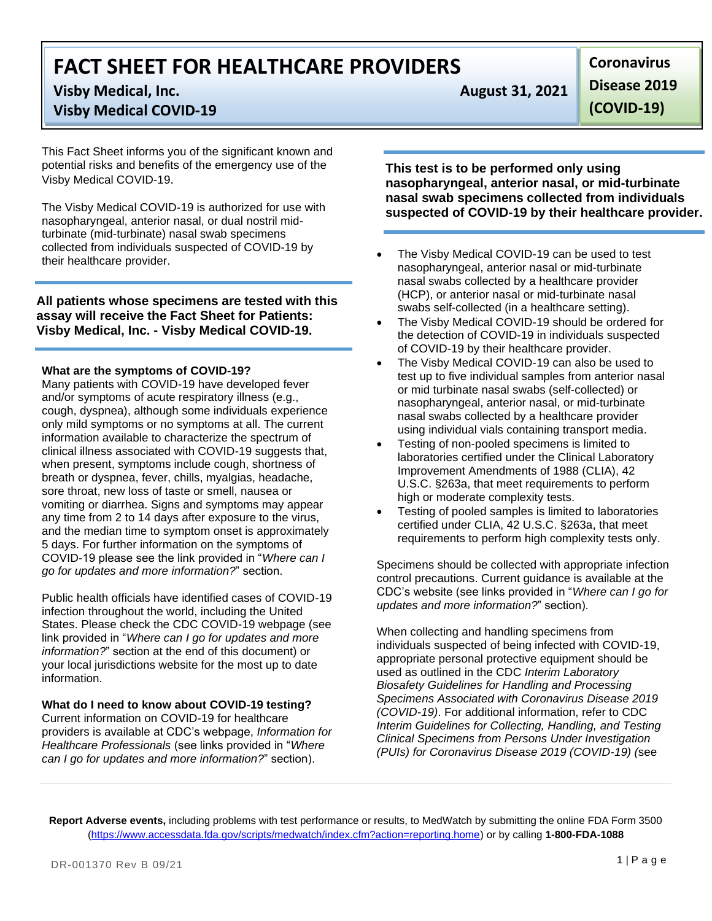# **FACT SHEET FOR HEALTHCARE PROVIDERS**

# **Visby Medical, Inc. August 31, 2021**

# **Visby Medical COVID-19**

This Fact Sheet informs you of the significant known and potential risks and benefits of the emergency use of the Visby Medical COVID-19.

The Visby Medical COVID-19 is authorized for use with nasopharyngeal, anterior nasal, or dual nostril midturbinate (mid-turbinate) nasal swab specimens collected from individuals suspected of COVID-19 by their healthcare provider.

**All patients whose specimens are tested with this assay will receive the Fact Sheet for Patients: Visby Medical, Inc. - Visby Medical COVID-19.**

## **What are the symptoms of COVID-19?**

Many patients with COVID-19 have developed fever and/or symptoms of acute respiratory illness (e.g., cough, dyspnea), although some individuals experience only mild symptoms or no symptoms at all. The current information available to characterize the spectrum of clinical illness associated with COVID-19 suggests that, when present, symptoms include cough, shortness of breath or dyspnea, fever, chills, myalgias, headache, sore throat, new loss of taste or smell, nausea or vomiting or diarrhea. Signs and symptoms may appear any time from 2 to 14 days after exposure to the virus, and the median time to symptom onset is approximately 5 days. For further information on the symptoms of COVID-19 please see the link provided in "*Where can I go for updates and more information?*" section.

Public health officials have identified cases of COVID-19 infection throughout the world, including the United States. Please check the CDC COVID-19 webpage (see link provided in "*Where can I go for updates and more information?*" section at the end of this document) or your local jurisdictions website for the most up to date information.

## **What do I need to know about COVID-19 testing?**

Current information on COVID-19 for healthcare providers is available at CDC's webpage, *Information for Healthcare Professionals* (see links provided in "*Where can I go for updates and more information?*" section).

**Coronavirus Disease 2019 (COVID-19)**

**This test is to be performed only using nasopharyngeal, anterior nasal, or mid-turbinate nasal swab specimens collected from individuals suspected of COVID-19 by their healthcare provider.**

- The Visby Medical COVID-19 can be used to test nasopharyngeal, anterior nasal or mid-turbinate nasal swabs collected by a healthcare provider (HCP), or anterior nasal or mid-turbinate nasal swabs self-collected (in a healthcare setting).
- The Visby Medical COVID-19 should be ordered for the detection of COVID-19 in individuals suspected of COVID-19 by their healthcare provider.
- The Visby Medical COVID-19 can also be used to test up to five individual samples from anterior nasal or mid turbinate nasal swabs (self-collected) or nasopharyngeal, anterior nasal, or mid-turbinate nasal swabs collected by a healthcare provider using individual vials containing transport media.
- Testing of non-pooled specimens is limited to laboratories certified under the Clinical Laboratory Improvement Amendments of 1988 (CLIA), 42 U.S.C. §263a, that meet requirements to perform high or moderate complexity tests.
- Testing of pooled samples is limited to laboratories certified under CLIA, 42 U.S.C. §263a, that meet requirements to perform high complexity tests only.

Specimens should be collected with appropriate infection control precautions. Current guidance is available at the CDC's website (see links provided in "*Where can I go for updates and more information?*" section).

When collecting and handling specimens from individuals suspected of being infected with COVID-19, appropriate personal protective equipment should be used as outlined in the CDC *Interim Laboratory Biosafety Guidelines for Handling and Processing Specimens Associated with Coronavirus Disease 2019 (COVID-19)*. For additional information, refer to CDC *Interim Guidelines for Collecting, Handling, and Testing Clinical Specimens from Persons Under Investigation (PUIs) for Coronavirus Disease 2019 (COVID-19) (*see

**Report Adverse events,** including problems with test performance or results, to MedWatch by submitting the online FDA Form 3500 [\(https://www.accessdata.fda.gov/scripts/medwatch/index.cfm?action=reporting.home\)](https://www.accessdata.fda.gov/scripts/medwatch/index.cfm?action=reporting.home) or by calling **1-800-FDA-1088**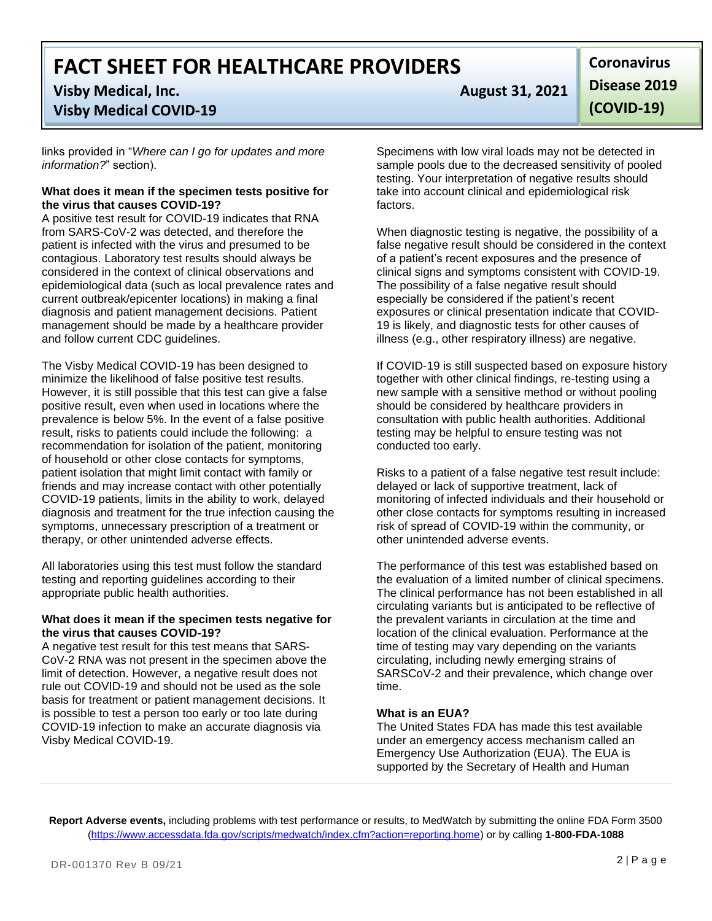**FACT SHEET FOR HEALTHCARE PROVIDERS**

## **Visby Medical, Inc. August 31, 2021**

## **Visby Medical COVID-19**

links provided in "*Where can I go for updates and more information?*" section).

#### **What does it mean if the specimen tests positive for the virus that causes COVID-19?**

A positive test result for COVID-19 indicates that RNA from SARS-CoV-2 was detected, and therefore the patient is infected with the virus and presumed to be contagious. Laboratory test results should always be considered in the context of clinical observations and epidemiological data (such as local prevalence rates and current outbreak/epicenter locations) in making a final diagnosis and patient management decisions. Patient management should be made by a healthcare provider and follow current CDC guidelines.

The Visby Medical COVID-19 has been designed to minimize the likelihood of false positive test results. However, it is still possible that this test can give a false positive result, even when used in locations where the prevalence is below 5%. In the event of a false positive result, risks to patients could include the following: a recommendation for isolation of the patient, monitoring of household or other close contacts for symptoms, patient isolation that might limit contact with family or friends and may increase contact with other potentially COVID-19 patients, limits in the ability to work, delayed diagnosis and treatment for the true infection causing the symptoms, unnecessary prescription of a treatment or therapy, or other unintended adverse effects.

All laboratories using this test must follow the standard testing and reporting guidelines according to their appropriate public health authorities.

#### **What does it mean if the specimen tests negative for the virus that causes COVID-19?**

A negative test result for this test means that SARS-CoV-2 RNA was not present in the specimen above the limit of detection. However, a negative result does not rule out COVID-19 and should not be used as the sole basis for treatment or patient management decisions. It is possible to test a person too early or too late during COVID-19 infection to make an accurate diagnosis via Visby Medical COVID-19.

**Coronavirus Disease 2019 (COVID-19)**

Specimens with low viral loads may not be detected in sample pools due to the decreased sensitivity of pooled testing. Your interpretation of negative results should take into account clinical and epidemiological risk factors.

When diagnostic testing is negative, the possibility of a false negative result should be considered in the context of a patient's recent exposures and the presence of clinical signs and symptoms consistent with COVID-19. The possibility of a false negative result should especially be considered if the patient's recent exposures or clinical presentation indicate that COVID-19 is likely, and diagnostic tests for other causes of illness (e.g., other respiratory illness) are negative.

If COVID-19 is still suspected based on exposure history together with other clinical findings, re-testing using a new sample with a sensitive method or without pooling should be considered by healthcare providers in consultation with public health authorities. Additional testing may be helpful to ensure testing was not conducted too early.

Risks to a patient of a false negative test result include: delayed or lack of supportive treatment, lack of monitoring of infected individuals and their household or other close contacts for symptoms resulting in increased risk of spread of COVID-19 within the community, or other unintended adverse events.

The performance of this test was established based on the evaluation of a limited number of clinical specimens. The clinical performance has not been established in all circulating variants but is anticipated to be reflective of the prevalent variants in circulation at the time and location of the clinical evaluation. Performance at the time of testing may vary depending on the variants circulating, including newly emerging strains of SARSCoV-2 and their prevalence, which change over time.

## **What is an EUA?**

The United States FDA has made this test available under an emergency access mechanism called an Emergency Use Authorization (EUA). The EUA is supported by the Secretary of Health and Human

**Report Adverse events,** including problems with test performance or results, to MedWatch by submitting the online FDA Form 3500 [\(https://www.accessdata.fda.gov/scripts/medwatch/index.cfm?action=reporting.home\)](https://www.accessdata.fda.gov/scripts/medwatch/index.cfm?action=reporting.home) or by calling **1-800-FDA-1088**